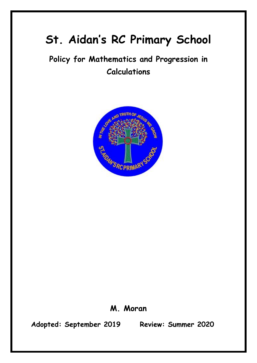# **St. Aidan's RC Primary School**

# **Policy for Mathematics and Progression in Calculations**



## **M. Moran**

**Adopted: September 2019 Review: Summer 2020**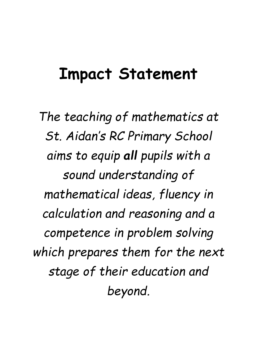# **Impact Statement**

*The teaching of mathematics at St. Aidan's RC Primary School aims to equip all pupils with a sound understanding of mathematical ideas, fluency in calculation and reasoning and a competence in problem solving which prepares them for the next stage of their education and beyond.*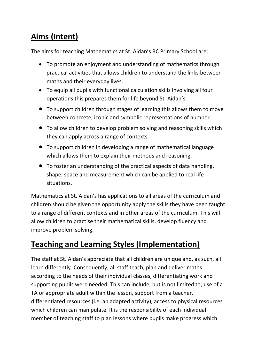# **Aims (Intent)**

The aims for teaching Mathematics at St. Aidan's RC Primary School are:

- To promote an enjoyment and understanding of mathematics through practical activities that allows children to understand the links between maths and their everyday lives.
- To equip all pupils with functional calculation skills involving all four operations this prepares them for life beyond St. Aidan's.
- To support children through stages of learning this allows them to move between concrete, iconic and symbolic representations of number.
- To allow children to develop problem solving and reasoning skills which they can apply across a range of contexts.
- To support children in developing a range of mathematical language which allows them to explain their methods and reasoning.
- To foster an understanding of the practical aspects of data handling, shape, space and measurement which can be applied to real life situations.

Mathematics at St. Aidan's has applications to all areas of the curriculum and children should be given the opportunity apply the skills they have been taught to a range of different contexts and in other areas of the curriculum. This will allow children to practise their mathematical skills, develop fluency and improve problem solving.

# **Teaching and Learning Styles (Implementation)**

The staff at St. Aidan's appreciate that all children are unique and, as such, all learn differently. Consequently, all staff teach, plan and deliver maths according to the needs of their individual classes, differentiating work and supporting pupils were needed. This can include, but is not limited to; use of a TA or appropriate adult within the lesson, support from a teacher, differentiated resources (i.e. an adapted activity), access to physical resources which children can manipulate. It is the responsibility of each individual member of teaching staff to plan lessons where pupils make progress which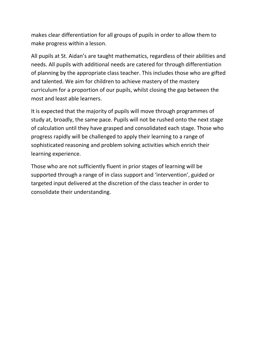makes clear differentiation for all groups of pupils in order to allow them to make progress within a lesson.

All pupils at St. Aidan's are taught mathematics, regardless of their abilities and needs. All pupils with additional needs are catered for through differentiation of planning by the appropriate class teacher. This includes those who are gifted and talented. We aim for children to achieve mastery of the mastery curriculum for a proportion of our pupils, whilst closing the gap between the most and least able learners.

It is expected that the majority of pupils will move through programmes of study at, broadly, the same pace. Pupils will not be rushed onto the next stage of calculation until they have grasped and consolidated each stage. Those who progress rapidly will be challenged to apply their learning to a range of sophisticated reasoning and problem solving activities which enrich their learning experience.

Those who are not sufficiently fluent in prior stages of learning will be supported through a range of in class support and 'intervention', guided or targeted input delivered at the discretion of the class teacher in order to consolidate their understanding.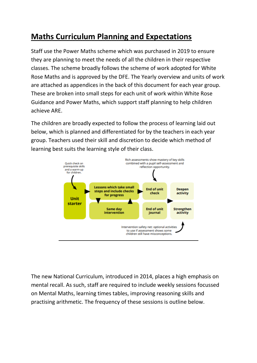# **Maths Curriculum Planning and Expectations**

Staff use the Power Maths scheme which was purchased in 2019 to ensure they are planning to meet the needs of all the children in their respective classes. The scheme broadly follows the scheme of work adopted for White Rose Maths and is approved by the DFE. The Yearly overview and units of work are attached as appendices in the back of this document for each year group. These are broken into small steps for each unit of work within White Rose Guidance and Power Maths, which support staff planning to help children achieve ARE.

The children are broadly expected to follow the process of learning laid out below, which is planned and differentiated for by the teachers in each year group. Teachers used their skill and discretion to decide which method of learning best suits the learning style of their class.



The new National Curriculum, introduced in 2014, places a high emphasis on mental recall. As such, staff are required to include weekly sessions focussed on Mental Maths, learning times tables, improving reasoning skills and practising arithmetic. The frequency of these sessions is outline below.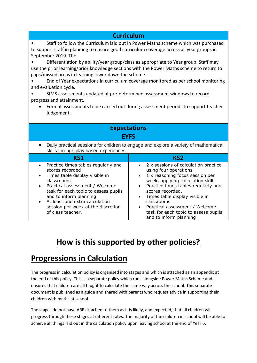#### **Curriculum**

• Staff to follow the Curriculum laid out in Power Maths scheme which was purchased to support staff in planning to ensure good curriculum coverage across all year groups in September 2019. The

• Differentiation by ability/year group/class as appropriate to Year group. Staff may use the prior learning/prior knowledge sections with the Power Maths scheme to return to gaps/missed areas in learning lower down the scheme.

- End of Year expectations in curriculum coverage monitored as per school monitoring and evaluation cycle.
- SIMS assessments updated at pre-determined assessment windows to record progress and attainment.
	- Formal assessments to be carried out during assessment periods to support teacher judgement.

| <b>Expectations</b>                                                                                                                                                                                                                                                                                     |                                                                                                                                                                                                                                                                                                                                                                                                                       |  |  |  |  |  |  |  |
|---------------------------------------------------------------------------------------------------------------------------------------------------------------------------------------------------------------------------------------------------------------------------------------------------------|-----------------------------------------------------------------------------------------------------------------------------------------------------------------------------------------------------------------------------------------------------------------------------------------------------------------------------------------------------------------------------------------------------------------------|--|--|--|--|--|--|--|
| <b>EYFS</b>                                                                                                                                                                                                                                                                                             |                                                                                                                                                                                                                                                                                                                                                                                                                       |  |  |  |  |  |  |  |
| Daily practical sessions for children to engage and explore a variety of mathematical<br>skills through play based experiences.                                                                                                                                                                         |                                                                                                                                                                                                                                                                                                                                                                                                                       |  |  |  |  |  |  |  |
| <b>KS1</b>                                                                                                                                                                                                                                                                                              | KS <sub>2</sub>                                                                                                                                                                                                                                                                                                                                                                                                       |  |  |  |  |  |  |  |
| Practice times tables regularly and<br>scores recorded<br>Times table display visible in<br>classrooms<br>Practical assessment / Welcome<br>task for each topic to assess pupils<br>and to inform planning<br>At least one extra calculation<br>session per week at the discretion<br>of class teacher. | 2 x sessions of calculation practice<br>$\bullet$<br>using four operations<br>1 x reasoning focus session per<br>$\bullet$<br>week, applying calculation skill.<br>Practice times tables regularly and<br>$\bullet$<br>scores recorded.<br>Times table display visible in<br>$\bullet$<br>classrooms<br>Practical assessment / Welcome<br>$\bullet$<br>task for each topic to assess pupils<br>and to inform planning |  |  |  |  |  |  |  |

# **How is this supported by other policies?**

## **Progressions in Calculation**

The progress in calculation policy is organised into stages and which is attached as an appendix at the end of this policy. This is a separate policy which runs alongside Power Maths Scheme and ensures that children are all taught to calculate the same way across the school. This separate document is published as a guide and shared with parents who request advice in supporting their children with maths at school.

The stages do not have ARE attached to them as it is likely, and expected, that all children will progress through these stages at different rates. The majority of the children in school will be able to achieve all things laid out in the calculation policy upon leaving school at the end of Year 6.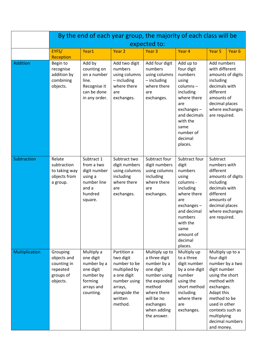|                 | By the end of each year group, the majority of each class will be           |                                                                                                        |                                                                                                                                            |                                                                                                                                                                               |                                                                                                                                                                                           |                                                                                                                                                                                                                   |                                      |  |  |
|-----------------|-----------------------------------------------------------------------------|--------------------------------------------------------------------------------------------------------|--------------------------------------------------------------------------------------------------------------------------------------------|-------------------------------------------------------------------------------------------------------------------------------------------------------------------------------|-------------------------------------------------------------------------------------------------------------------------------------------------------------------------------------------|-------------------------------------------------------------------------------------------------------------------------------------------------------------------------------------------------------------------|--------------------------------------|--|--|
|                 | expected to:                                                                |                                                                                                        |                                                                                                                                            |                                                                                                                                                                               |                                                                                                                                                                                           |                                                                                                                                                                                                                   |                                      |  |  |
|                 | EYFS/<br>Reception                                                          | Year1                                                                                                  | Year <sub>2</sub>                                                                                                                          | Year <sub>3</sub>                                                                                                                                                             | Year <sub>4</sub>                                                                                                                                                                         | Year <sub>5</sub>                                                                                                                                                                                                 | Year <sub>6</sub>                    |  |  |
| <b>Addition</b> | Begin to<br>recognise<br>addition by<br>combining<br>objects.               | Add by<br>counting on<br>on a number<br>line.<br>Recognise it<br>can be done<br>in any order.          | Add two digit<br>numbers<br>using columns<br>- including<br>where there<br>are<br>exchanges.                                               | Add four digit<br>numbers<br>using columns<br>$-$ including<br>where there<br>are<br>exchanges.                                                                               | Add up to<br>four digit<br>numbers<br>using<br>columns-<br>including<br>where there<br>are<br>exchanges-<br>and decimals<br>with the<br>same<br>number of<br>decimal<br>places.           | Add numbers<br>with different<br>including<br>decimals with<br>different<br>amounts of<br>decimal places<br>are required.                                                                                         | amounts of digits<br>where exchanges |  |  |
| Subtraction     | Relate<br>subtraction<br>to taking way<br>objects from<br>a group.          | Subtract 1<br>from a two<br>digit number<br>using a<br>number line<br>and a<br>hundred<br>square.      | Subtract two<br>digit numbers<br>using columns<br>including<br>where there<br>are<br>exchanges.                                            | Subtract four<br>digit numbers<br>using columns<br>including<br>where there<br>are<br>exchanges.                                                                              | Subtract four<br>digit<br>numbers<br>using<br>columns -<br>including<br>where there<br>are<br>exchanges-<br>and decimal<br>numbers<br>with the<br>same<br>amount of<br>decimal<br>places. | Subtract<br>numbers with<br>different<br>amounts of digits<br>including<br>decimals with<br>different<br>amounts of<br>decimal places<br>are required.                                                            | where exchanges                      |  |  |
| Multiplication  | Grouping<br>objects and<br>counting in<br>repeated<br>groups of<br>objects. | Multiply a<br>one digit<br>number by a<br>one digit<br>number by<br>forming<br>arrays and<br>counting. | Partition a<br>two digit<br>number to be<br>multiplied by<br>a one digit<br>number using<br>arrays,<br>alongside the<br>written<br>method. | Multiply up to<br>a three digit<br>number by a<br>one digit<br>number using<br>the expanded<br>method<br>where there<br>will be no<br>exchanges<br>when adding<br>the answer. | Multiply up<br>to a three<br>digit number<br>by a one digit<br>number<br>using the<br>short method<br>including<br>where there<br>are<br>exchanges.                                       | Multiply up to a<br>four digit<br>number by a two<br>digit number<br>using the short<br>method with<br>exchanges.<br>Adapt this<br>method to be<br>used in other<br>contexts such as<br>multiplying<br>and money. | decimal numbers                      |  |  |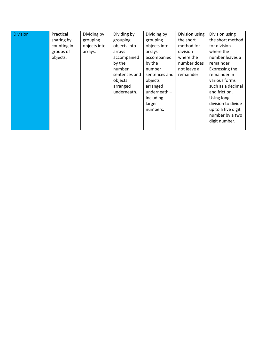| <b>Division</b> | Practical<br>sharing by<br>counting in<br>groups of<br>objects. | Dividing by<br>grouping<br>objects into<br>arrays. | Dividing by<br>grouping<br>objects into<br>arrays<br>accompanied<br>by the<br>number<br>sentences and<br>objects<br>arranged<br>underneath. | Dividing by<br>grouping<br>objects into<br>arrays<br>accompanied<br>by the<br>number<br>sentences and<br>objects<br>arranged<br>underneath $-$<br>including<br>larger<br>numbers. | Division using<br>the short<br>method for<br>division<br>where the<br>number does<br>not leave a<br>remainder. | Division using<br>the short method<br>for division<br>where the<br>number leaves a<br>remainder.<br>Expressing the<br>remainder in<br>various forms<br>such as a decimal<br>and friction.<br>Using long<br>division to divide<br>up to a five digit<br>number by a two |
|-----------------|-----------------------------------------------------------------|----------------------------------------------------|---------------------------------------------------------------------------------------------------------------------------------------------|-----------------------------------------------------------------------------------------------------------------------------------------------------------------------------------|----------------------------------------------------------------------------------------------------------------|------------------------------------------------------------------------------------------------------------------------------------------------------------------------------------------------------------------------------------------------------------------------|
|                 |                                                                 |                                                    |                                                                                                                                             |                                                                                                                                                                                   |                                                                                                                | digit number.                                                                                                                                                                                                                                                          |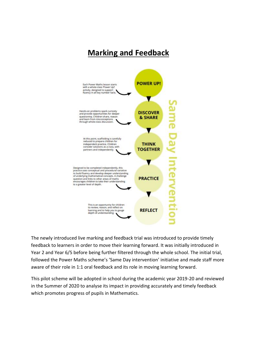## **Marking and Feedback**

![](_page_8_Figure_1.jpeg)

The newly introduced live marking and feedback trial was introduced to provide timely feedback to learners in order to move their learning forward. It was initially introduced in Year 2 and Year 6/5 before being further filtered through the whole school. The initial trial, followed the Power Maths scheme's 'Same Day intervention' initiative and made staff more aware of their role in 1:1 oral feedback and its role in moving learning forward.

This pilot scheme will be adopted in school during the academic year 2019-20 and reviewed in the Summer of 2020 to analyse its impact in providing accurately and timely feedback which promotes progress of pupils in Mathematics.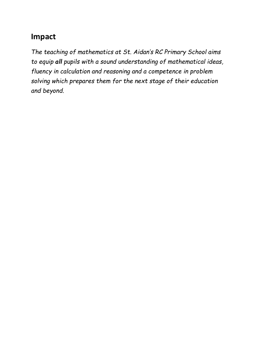## **Impact**

*The teaching of mathematics at St. Aidan's RC Primary School aims to equip all pupils with a sound understanding of mathematical ideas, fluency in calculation and reasoning and a competence in problem solving which prepares them for the next stage of their education and beyond.*